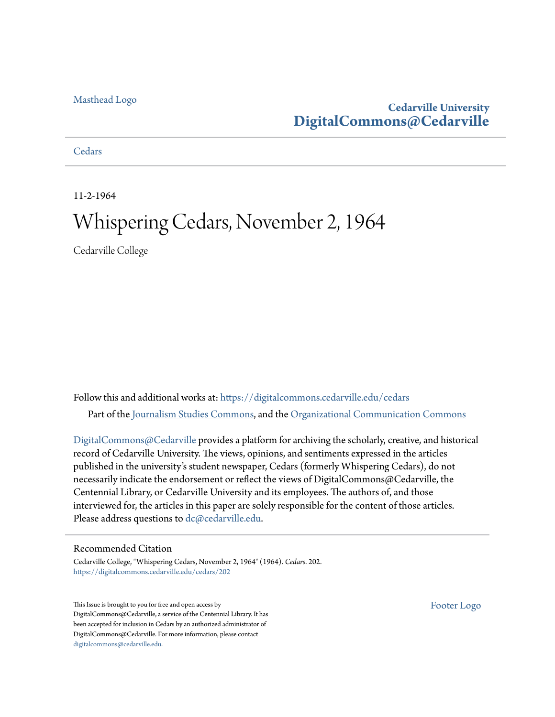## [Masthead Logo](http://www.cedarville.edu/?utm_source=digitalcommons.cedarville.edu%2Fcedars%2F202&utm_medium=PDF&utm_campaign=PDFCoverPages)

# **Cedarville University [DigitalCommons@Cedarville](https://digitalcommons.cedarville.edu?utm_source=digitalcommons.cedarville.edu%2Fcedars%2F202&utm_medium=PDF&utm_campaign=PDFCoverPages)**

# **[Cedars](https://digitalcommons.cedarville.edu/cedars?utm_source=digitalcommons.cedarville.edu%2Fcedars%2F202&utm_medium=PDF&utm_campaign=PDFCoverPages)**

11-2-1964

# Whispering Cedars, November 2, 1964

Cedarville College

Follow this and additional works at: [https://digitalcommons.cedarville.edu/cedars](https://digitalcommons.cedarville.edu/cedars?utm_source=digitalcommons.cedarville.edu%2Fcedars%2F202&utm_medium=PDF&utm_campaign=PDFCoverPages) Part of the [Journalism Studies Commons](http://network.bepress.com/hgg/discipline/333?utm_source=digitalcommons.cedarville.edu%2Fcedars%2F202&utm_medium=PDF&utm_campaign=PDFCoverPages), and the [Organizational Communication Commons](http://network.bepress.com/hgg/discipline/335?utm_source=digitalcommons.cedarville.edu%2Fcedars%2F202&utm_medium=PDF&utm_campaign=PDFCoverPages)

[DigitalCommons@Cedarville](http://digitalcommons.cedarville.edu/) provides a platform for archiving the scholarly, creative, and historical record of Cedarville University. The views, opinions, and sentiments expressed in the articles published in the university's student newspaper, Cedars (formerly Whispering Cedars), do not necessarily indicate the endorsement or reflect the views of DigitalCommons@Cedarville, the Centennial Library, or Cedarville University and its employees. The authors of, and those interviewed for, the articles in this paper are solely responsible for the content of those articles. Please address questions to [dc@cedarville.edu.](mailto:dc@cedarville.edu)

### Recommended Citation

Cedarville College, "Whispering Cedars, November 2, 1964" (1964). *Cedars*. 202. [https://digitalcommons.cedarville.edu/cedars/202](https://digitalcommons.cedarville.edu/cedars/202?utm_source=digitalcommons.cedarville.edu%2Fcedars%2F202&utm_medium=PDF&utm_campaign=PDFCoverPages)

This Issue is brought to you for free and open access by DigitalCommons@Cedarville, a service of the Centennial Library. It has been accepted for inclusion in Cedars by an authorized administrator of DigitalCommons@Cedarville. For more information, please contact [digitalcommons@cedarville.edu](mailto:digitalcommons@cedarville.edu).

[Footer Logo](http://www.cedarville.edu/Academics/Library.aspx?utm_source=digitalcommons.cedarville.edu%2Fcedars%2F202&utm_medium=PDF&utm_campaign=PDFCoverPages)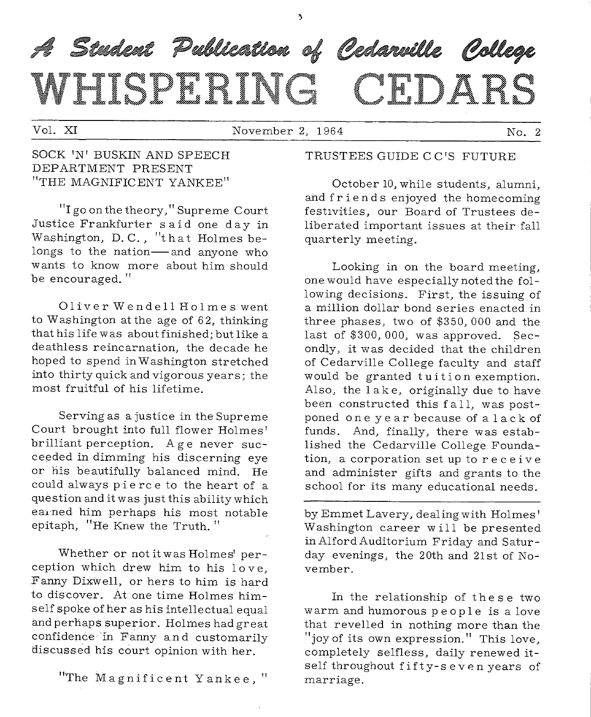# A Student Publication of Cedarville College WEIGPHEING CEDARS

Vol. XI November 2, 1964 No. 2

#### SOCK <sup>1</sup> N <sup>1</sup>BUSKIN AND SPEECH DEPARTMENT PRESENT "THE MAGNIFICENT YANKEE"

"I go on the theory," Supreme Court Justice Frankfurter said one day in Washington, D. C., "that Holmes belongs to the nation-and anyone who wants to know more about him should be encouraged. "

01 iv er Wende 11 Ho 1 mes went to Washington at the age of 62, thinking that his life was about finished; but like <sup>a</sup> deathless reincarnation, the decade he hoped to spend in Washington stretched into thirty quick and vigorous years; the most fruitful of his lifetime.

Serving as a justice in the Supreme Court brought into full flower Holmes' brilliant perception. Age never succeeded in dimming his discerning eye or his beautifully balanced mind. He could always pie re e to the heart of <sup>a</sup> question and it was just this ability which earned him perhaps his most notable epitaph, "He Knew the Truth."

Whether or not it was Holmes' perception which drew him to his love, Fanny Dixwell, or hers to him is hard to discover. At one time Holmes himself spoke of her as his intellectual equa<sup>l</sup> and perhaps superior. Holmes had great confidence in Fanny a.n d customarily discussed his court opinion with her.

"The Magnificent Yankee, "

#### TRUSTEES GUIDE CC 'S FUTURE

October 10, while students, alumni, and friends enjoyed the homecoming festivities, our Board of Trustees deliberated important issues at their fall quarterly meeting.

Looking in on the board meeting, one would have especially noted the following decisions. First, the issuing of a million dollar bond series enacted in three phases, two of \$350, 000 and the last of \$300, 000, was approved. Secondly, it was decided that the children of Cedarville College faculty and staff would be granted tuition exemption. Also, the 1 ak e, originally due to have been constructed this fall, was postponed one year because of a lack of funds. And, finally, there was established the Cedarville College Foundation, a corporation set up to receive and administer gifts and grants to the school for its many educational needs.

by Emmet Lavery, dealing with Holmes' Washington career will be presented in Alford Auditorium Friday and Saturday evenings, the 20th and 21st of November.

In the relationship of the se two warm and humorous people is a love that revelled in nothing more than the "joy of its own expression." This love, completely selfless, daily renewed itself throughout fifty-seven years of marriage.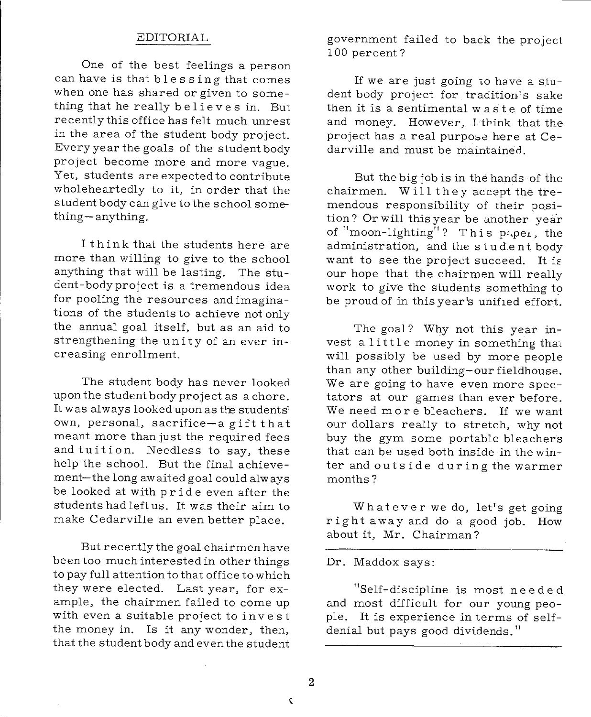#### EDITORIAL

One of the best feelings a person can have is that blessing that comes when one has shared or given to something that he really believes in. But recently this office has felt much unrest in the area of the student body project. Every year the goals of the student body project become more and more vague. Yet, students are expected to contribute wholeheartedly to it, in order that the student body can give to the school something-anything.

I think that the students here are more than willing to give to the school anything that will be lasting. The student-body project is a tremendous idea for pooling the resources and imaginations of the students to achieve not only the annual goal itself, but as an aid to strengthening the unity of an ever increasing enrollment.

The student body has never looked upon the student body project as a chore. It was always looked upon as the students' own, personal, sacrifice-a gift that meant more than just the required fees and tuition. Needless to say, these help the school. But the final achievement-the long awaited goal could always be looked at with pride even after the students had left us. It was their aim to make Cedarville an even better place.

But recently the goal chairmen have been too much interested in other things to pay full attention to that office to which they were elected. Last year, for example, the chairmen failed to come up with even a suitable project to invest the money in. Is it any wonder, then, that the student body and even the student government failed to back the project 100 percent?

If we are just going to have a student body project for tradition's sake then it is a sentimental w as te of time and money. However, I think that the project has a real purpose here at Cedarville and must be maintained.

But the big job is in the hands of the chairmen. Will they accept the tremendous responsibility of their position? Or will this year be another year of "moon-lighting"? This  $p_{\text{aper}}$ , the administration, and the stud.en t body want to see the project succeed. It is our hope that the chairmen will really work to give the students something to be proud of in this year's unified effort.

The goal? Why not this year invest a little money in something that will possibly be used by more people than any other building-our fieldhouse. We are going to have even more spectators at our games than ever before. We need more bleachers. If we want our dollars really to stretch, why not buy the gym some portable bleachers that can be used both inside in the winter and outside during the warmer months?

Whatever we do, let's get going right away and do a good job. How about it, Mr. Chairman?

Dr. Maddox says:

"Self-discipline is most needed and most difficult for our young people. It is experience in terms of selfdenial but pays good dividends."

¢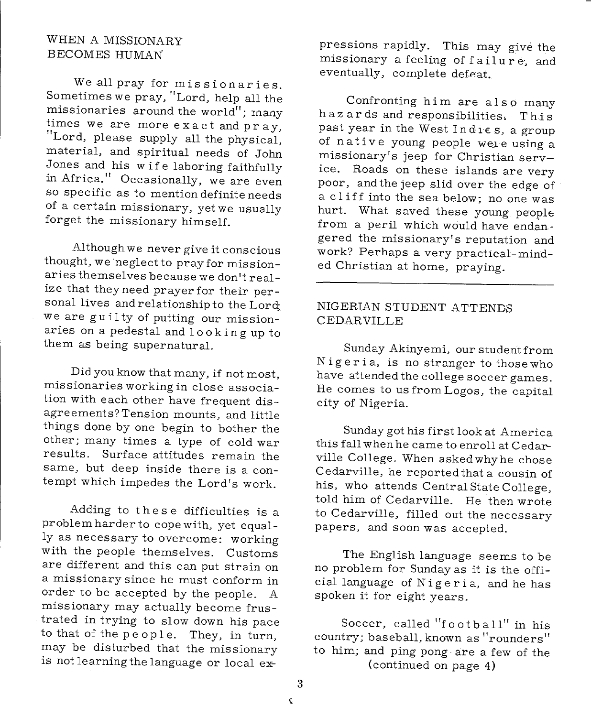# WHEN A MISSIONARY BECOMES HUMAN

We all pray for missionaries. Sometimes we pray, "Lord, help all the missionaries around the world"; rnany times we are more exact and pray, "Lord, please supply all the physical, material, and spiritual needs of John Jones and his wife laboring faithfully in Africa." Occasionally, we are even so specific as to mention definite needs of a certain missionary, yet we usually forget the missionary himself.

Although we never give it conscious thought, we neglect to pray for missionaries themselves because we don't realize that they need prayer for their personal lives and relationship to the Lord; we are guilty of putting our missionaries on a pedestal and 1 o o king up to them as being supernatural.

Did you know that many, if not most, missionaries working in close association with each other have frequent disagreements?Tension mounts, and little things done by one begin to bother the other; many times a type of cold war results. Surface attitudes remain the same, but deep inside there is a contempt which impedes the Lord's work.

Adding to these difficulties is a problem harder to cope with, yet equally as necessary to overcome: working with the people themselves. Customs are different and this can put strain on <sup>a</sup>missionary since he must conform in order to be accepted by the people. <sup>A</sup> missionary may actually become frustrated in trying to slow down his pace to that of the people. They, in turn, may be disturbed that the missionary is not learning the language or local expressions rapidly. This may give the missionary a feeling of failure, and eventually, complete defeat.

Confronting him are also many haz ards and responsibilities. This past year in the West  $Indi \in s$ , a group of native young people wele using a missionary's jeep for Christian service. Roads on these islands are very poor, and the jeep slid over the edge of a cliff into the sea below; no one was hurt. What saved these young people: from a peril which would have endangered the missionary's reputation and work? Perhaps a very practical-minded Christian at home, praying.

#### NIGERIAN STUDENT ATTENDS CEDARVILLE

Sunday Akinyemi, our student from Nigeria, is no stranger to those who have attended the college soccer games. He comes to us from Logos, the capital city of Nigeria.

Sunday got his first look at America this fall when he came to enroll at Cedarville College. When asked why he chose Cedarville, he reported that a cousin of his, who attends Central State College, told him of Cedarville. He then wrote to Cedarville, filled out the necessary papers, and soon was accepted.

The English language seems to be no problem for Sunday as it is the official language of Nigeria, and he has spoken it for eight years.

Soccer, called "football" in his country; baseball, known as "rounders" to him; and ping pong· are a few of the (continued on page 4)

3 Ċ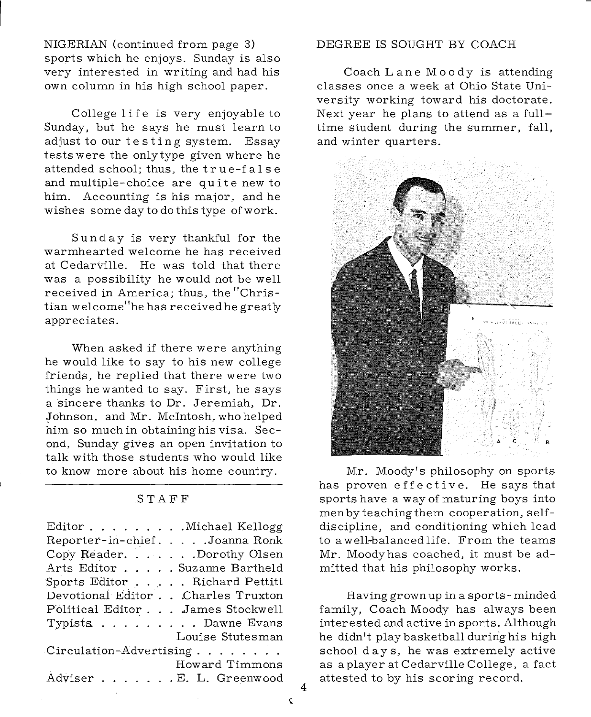NIGERIAN (continued from page 3) sports which he enjoys. Sunday is also very interested in writing and had his own column in his high school paper.

College life is very enjoyable to Sunday, but he says he must learn to adjust to our testing system. Essay tests were the only type given where he attended school; thus, the true-fa 1 s e and multiple- choice are quite new to him. Accounting is his major, and he wishes somedaytodothistype ofwork.

Sunday is very thankful for the warmhearted welcome he has received at Cedarville. He was told that there was a possibility he would not be well received in America; thus, the "Christian welcome"he has received he greatly appreciates.

When asked if there were anything he would like to say to his new college friends, he replied that there were two things hewanted to say. First, he says a sincere thanks to Dr. Jeremiah, Dr. Johnson, and Mr. McIntosh, who helped him so much in obtaining his visa. Second, Sunday gives an open invitation to talk with those students who would like to know more about his home country.

#### STAFF

| Reporter-in-chief. Joanna Ronk<br>Copy Reader. Dorothy Olsen |
|--------------------------------------------------------------|
|                                                              |
|                                                              |
| Arts Editor Suzanne Bartheld                                 |
| Sports Editor Richard Pettitt                                |
| Devotional Editor Charles Truxton                            |
| Political Editor James Stockwell                             |
| Typists Dawne Evans                                          |
| Louise Stutesman                                             |
| Circulation-Advertising                                      |
| Howard Timmons                                               |
| Adviser E. L. Greenwood                                      |

#### DEGREE IS SOUGHT BY COACH

Coach Lane Moody is attending classes once a week at Ohio State University working toward his doctorate. Next year he plans to attend as a fulltime student during the summer, fall, and winter quarters.



Mr. Moody's philosophy on sports has proven effective. He says that sports have a way of maturing boys into men byte aching them cooperation, selfdiscipline, and conditioning which lead to a well-balanced life. From the teams Mr. Moodyhas coached, it must be admitted that his philosophy works.

Having grown up in a sports-minded family, Coach Moody has always been interested and active in sports. Although he didn't play basketball during his high school days, he was extremely active as a player at Cedarville College, a fact attested to by his scoring record.

4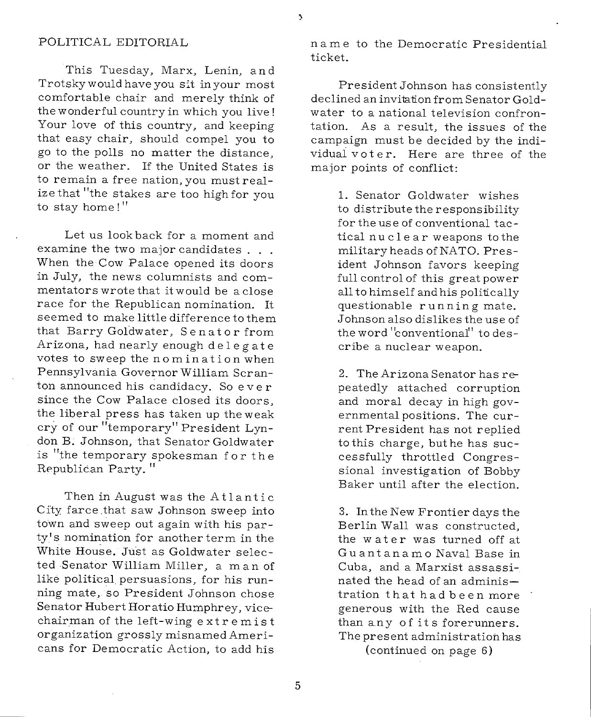#### POLITICAL EDITORIAL

This Tuesday, Marx, Lenin, and Trotsky would have you sit in your most comfortable chair and merely think of the wonderful country in which you live! Your love of this country, and keeping that easy chair, should compel you to go to the polls no matter the distance, or the weather. If the United States is to remain a free nation, you must realize that "the stakes are too high for you to stay home!"

Let us look back for a moment and examine the two major candidates . . . When the Cow Palace opened its doors in July, the news columnists and commentators wrote that it would be a close race for the Republican nomination. It seemed to make little difference to them that Barry Goldwater, Sen at or from Arizona, had nearly enough delegate votes to sweep the nomination when Pennsylvania Governor William Scranton announced his candidacy. So ever since the Cow Palace closed its doors, the liberal press has taken up theweak cry of our "temporary" President Lyndon B. Johnson, that Senator Goldwater is "the temporary spokesman for the Republican Party. "

Then in August was the Atlantic City farce .that saw Johnson sweep into town and sweep out again with his party's nomination for another term in the White House. Just as Goldwater selected Senator William Miller, <sup>a</sup>man of like political persuasions, for his running mate, so President Johnson chose Senator Hubert Horatio Humphrey, vicechairman of the left-wing extremist organization grossly misnamed Americans for Democratic Action, to add his name to the Democratic Presidential ticket.

President Johnson has consistently declined an invitation from Senator Goldwater to a national television confrontation. As a result, the issues of the campaign must be decided by the individual voter. Here are three of the major points of conflict:

> 1. Senator Goldwater wishes to distribute the responsibility for the use of conventional tactical nu clear weapons to the military heads of NATO. President Johnson favors keeping full control of this great power all to himself and his politically questionable running mate. Johnson also dislikes the use of the word "conventional" to describe a nuclear weapon.

> 2. The Arizona Senator has repeatedly attached corruption and moral decay in high governmental positions. The current President has not replied to this charge, but he has successfully throttled Congressional investigation of Bobby Baker until after the election.

> 3. In the New Frontier days the Berlin Wall was constructed, the water was turned off at Guantanamo Naval Base in Cuba, and a Marxist assassinated the head of an administration that had been more generous with the Red cause than any of its forerunners. The present administration has

> > (continued on page 6)